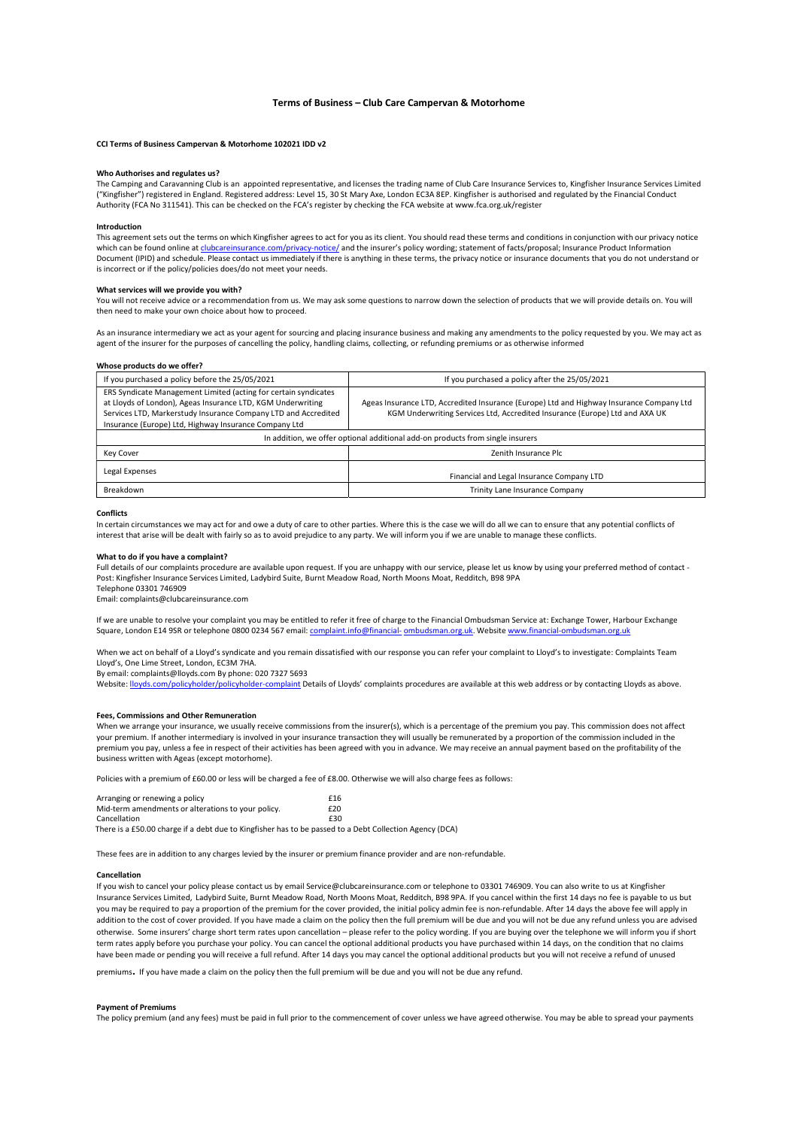# Terms of Business – Club Care Campervan & Motorhome

## CCI Terms of Business Campervan & Motorhome 102021 IDD v2

## Who Authorises and regulates us?

The Camping and Caravanning Club is an appointed representative, and licenses the trading name of Club Care Insurance Services to, Kingfisher Insurance Services Limited ("Kingfisher") registered in England. Registered address: Level 15, 30 St Mary Axe, London EC3A 8EP. Kingfisher is authorised and regulated by the Financial Conduct Authority (FCA No 311541). This can be checked on the FCA's register by checking the FCA website at www.fca.org.uk/register

## Introduction

This agreement sets out the terms on which Kingfisher agrees to act for you as its client. You should read these terms and conditions in conjunction with our privacy notice<br>which can be found online at clubcareinsurance.co otice/ and the insurer's policy wording; statement of facts/proposal; Insurance Product Information Document (IPID) and schedule. Please contact us immediately if there is anything in these terms, the privacy notice or insurance documents that you do not understand or is incorrect or if the policy/policies does/do not meet your needs.

## What services will we provide you with?

You will not receive advice or a recommendation from us. We may ask some questions to narrow down the selection of products that we will provide details on. You will then need to make your own choice about how to proceed.

As an insurance intermediary we act as your agent for sourcing and placing insurance business and making any amendments to the policy requested by you. We may act as agent of the insurer for the purposes of cancelling the policy, handling claims, collecting, or refunding premiums or as otherwise informed

#### Whose products do we offer?

| If you purchased a policy before the 25/05/2021                                                                                                                                                                                                           | If you purchased a policy after the 25/05/2021                                                                                                                          |
|-----------------------------------------------------------------------------------------------------------------------------------------------------------------------------------------------------------------------------------------------------------|-------------------------------------------------------------------------------------------------------------------------------------------------------------------------|
| ERS Syndicate Management Limited (acting for certain syndicates<br>at Lloyds of London), Ageas Insurance LTD, KGM Underwriting<br>Services LTD, Markerstudy Insurance Company LTD and Accredited<br>Insurance (Europe) Ltd, Highway Insurance Company Ltd | Ageas Insurance LTD, Accredited Insurance (Europe) Ltd and Highway Insurance Company Ltd<br>KGM Underwriting Services Ltd, Accredited Insurance (Europe) Ltd and AXA UK |
| In addition, we offer optional additional add-on products from single insurers                                                                                                                                                                            |                                                                                                                                                                         |
| Key Cover                                                                                                                                                                                                                                                 | Zenith Insurance Plc                                                                                                                                                    |
| Legal Expenses                                                                                                                                                                                                                                            | Financial and Legal Insurance Company LTD                                                                                                                               |
| Breakdown                                                                                                                                                                                                                                                 | Trinity Lane Insurance Company                                                                                                                                          |

#### **Conflicts**

In certain circumstances we may act for and owe a duty of care to other parties. Where this is the case we will do all we can to ensure that any potential conflicts of interest that arise will be dealt with fairly so as to avoid prejudice to any party. We will inform you if we are unable to manage these conflicts.

### What to do if you have a complaint?

Full details of our complaints procedure are available upon request. If you are unhappy with our service, please let us know by using your preferred method of contact - Post: Kingfisher Insurance Services Limited, Ladybird Suite, Burnt Meadow Road, North Moons Moat, Redditch, B98 9PA

Telephone 03301 746909 Email: complaints@clubcareinsurance.com

If we are unable to resolve your complaint you may be entitled to refer it free of charge to the Financial Ombudsman Service at: Exchange Tower, Harbour Exchange Square, London E14 9SR or telephone 0800 0234 567 email: complaint.info@financial- ombudsman.org.uk. Website www.financial-ombudsman.org.uk

When we act on behalf of a Lloyd's syndicate and you remain dissatisfied with our response you can refer your complaint to Lloyd's to investigate: Complaints Team Lloyd's, One Lime Street, London, EC3M 7HA.

By email: complaints@lloyds.com By phone: 020 7327 5693

Website: lloyds.com/policyholder/policyholder-complaint Details of Lloyds' complaints procedures are available at this web address or by contacting Lloyds as above.

#### Fees, Commissions and Other Remuneration

When we arrange your insurance, we usually receive commissions from the insurer(s), which is a percentage of the premium you pay. This commission does not affect your premium. If another intermediary is involved in your insurance transaction they will usually be remunerated by a proportion of the commission included in the premium you pay, unless a fee in respect of their activities has been agreed with you in advance. We may receive an annual payment based on the profitability of the business written with Ageas (except motorhome).

Policies with a premium of £60.00 or less will be charged a fee of £8.00. Otherwise we will also charge fees as follows:

| Arranging or renewing a policy                                                                          | £16 |
|---------------------------------------------------------------------------------------------------------|-----|
| Mid-term amendments or alterations to your policy.                                                      | £20 |
| Cancellation                                                                                            | £30 |
| There is a £50.00 charge if a debt due to Kingfisher has to be passed to a Debt Collection Agency (DCA) |     |

These fees are in addition to any charges levied by the insurer or premium finance provider and are non-refundable.

# Cancellation

If you wish to cancel your policy please contact us by email Service@clubcareinsurance.com or telephone to 03301 746909. You can also write to us at Kingfisher Insurance Services Limited, Ladybird Suite, Burnt Meadow Road, North Moons Moat, Redditch, B98 9PA. If you cancel within the first 14 days no fee is payable to us but you may be required to pay a proportion of the premium for the cover provided, the initial policy admin fee is non-refundable. After 14 days the above fee will apply in addition to the cost of cover provided. If you have made a claim on the policy then the full premium will be due and you will not be due any refund unless you are advised otherwise. Some insurers' charge short term rates upon cancellation – please refer to the policy wording. If you are buying over the telephone we will inform you if short term rates apply before you purchase your policy. You can cancel the optional additional products you have purchased within 14 days, on the condition that no claims have been made or pending you will receive a full refund. After 14 days you may cancel the optional additional products but you will not receive a refund of unused

premiums. If you have made a claim on the policy then the full premium will be due and you will not be due any refund.

## Payment of Premiums

The policy premium (and any fees) must be paid in full prior to the commencement of cover unless we have agreed otherwise. You may be able to spread your payments